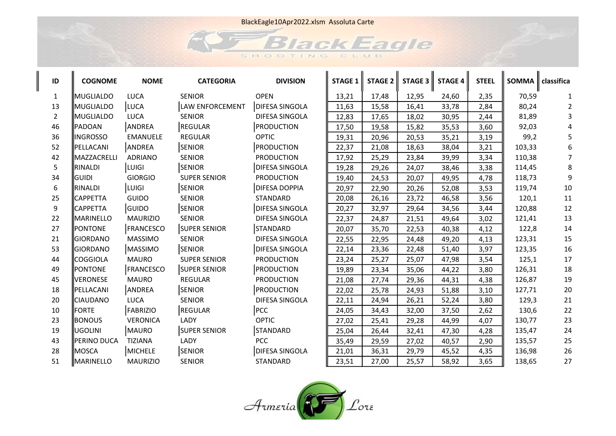BlackEagle10Apr2022.xlsm Assoluta Carte



| ID           | <b>COGNOME</b>   | <b>NOME</b>     | <b>CATEGORIA</b>    | <b>DIVISION</b>       | <b>STAGE 1</b> | <b>STAGE 2</b> | <b>STAGE 3</b> | <b>STAGE 4</b> | <b>STEEL</b> | <b>SOMMA</b> | classifica |
|--------------|------------------|-----------------|---------------------|-----------------------|----------------|----------------|----------------|----------------|--------------|--------------|------------|
| $\mathbf{1}$ | MUGLIALDO        | <b>LUCA</b>     | <b>SENIOR</b>       | <b>OPEN</b>           | 13,21          | 17,48          | 12,95          | 24,60          | 2,35         | 70,59        |            |
| 13           | MUGLIALDO        | LUCA            | LAW ENFORCEMENT     | <b>DIFESA SINGOLA</b> | 11,63          | 15,58          | 16,41          | 33,78          | 2,84         | 80,24        | 2          |
| 2            | MUGLIALDO        | <b>LUCA</b>     | <b>SENIOR</b>       | DIFESA SINGOLA        | 12,83          | 17,65          | 18,02          | 30,95          | 2,44         | 81,89        | 3          |
| 46           | PADOAN           | ANDREA          | REGULAR             | PRODUCTION            | 17,50          | 19,58          | 15,82          | 35,53          | 3,60         | 92,03        |            |
| 36           | <b>INGROSSO</b>  | <b>EMANUELE</b> | REGULAR             | <b>OPTIC</b>          | 19,31          | 20,96          | 20,53          | 35,21          | 3,19         | 99,2         |            |
| 52           | PELLACANI        | ANDREA          | <b>SENIOR</b>       | PRODUCTION            | 22,37          | 21,08          | 18,63          | 38,04          | 3,21         | 103,33       | 6          |
| 42           | MAZZACRELLI      | <b>ADRIANO</b>  | <b>SENIOR</b>       | <b>PRODUCTION</b>     | 17,92          | 25,29          | 23,84          | 39,99          | 3,34         | 110,38       |            |
| 5            | RINALDI          | <b>LUIGI</b>    | <b>SENIOR</b>       | DIFESA SINGOLA        | 19,28          | 29,26          | 24,07          | 38,46          | 3,38         | 114,45       | 8          |
| 34           | <b>GUIDI</b>     | <b>GIORGIO</b>  | <b>SUPER SENIOR</b> | <b>PRODUCTION</b>     | 19,40          | 24,53          | 20,07          | 49,95          | 4,78         | 118,73       | 9          |
| 6            | RINALDI          | <b>LUIGI</b>    | <b>SENIOR</b>       | <b>DIFESA DOPPIA</b>  | 20,97          | 22,90          | 20,26          | 52,08          | 3,53         | 119,74       | 10         |
| 25           | <b>CAPPETTA</b>  | <b>GUIDO</b>    | <b>SENIOR</b>       | STANDARD              | 20,08          | 26,16          | 23,72          | 46,58          | 3,56         | 120,1        | 11         |
| 9            | <b>CAPPETTA</b>  | <b>GUIDO</b>    | <b>SENIOR</b>       | <b>DIFESA SINGOLA</b> | 20,27          | 32,97          | 29,64          | 34,56          | 3,44         | 120,88       | 12         |
| 22           | <b>MARINELLO</b> | <b>MAURIZIO</b> | <b>SENIOR</b>       | DIFESA SINGOLA        | 22,37          | 24,87          | 21,51          | 49,64          | 3,02         | 121,41       | 13         |
| 27           | <b>PONTONE</b>   | FRANCESCO       | <b>SUPER SENIOR</b> | <b>STANDARD</b>       | 20,07          | 35,70          | 22,53          | 40,38          | 4,12         | 122,8        | 14         |
| 21           | GIORDANO         | <b>MASSIMO</b>  | <b>SENIOR</b>       | DIFESA SINGOLA        | 22,55          | 22,95          | 24,48          | 49,20          | 4,13         | 123,31       | 15         |
| 53           | GIORDANO         | MASSIMO         | <b>SENIOR</b>       | <b>DIFESA SINGOLA</b> | 22,14          | 23,36          | 22,48          | 51,40          | 3,97         | 123,35       | 16         |
| 44           | <b>COGGIOLA</b>  | <b>MAURO</b>    | <b>SUPER SENIOR</b> | <b>PRODUCTION</b>     | 23,24          | 25,27          | 25,07          | 47,98          | 3,54         | 125,1        | 17         |
| 49           | <b>PONTONE</b>   | FRANCESCO       | <b>SUPER SENIOR</b> | <b>PRODUCTION</b>     | 19,89          | 23,34          | 35,06          | 44,22          | 3,80         | 126,31       | 18         |
| 45           | <b>VERONESE</b>  | <b>MAURO</b>    | <b>REGULAR</b>      | <b>PRODUCTION</b>     | 21,08          | 27,74          | 29,36          | 44,31          | 4,38         | 126,87       | 19         |
| 18           | PELLACANI        | ANDREA          | <b>SENIOR</b>       | <b>PRODUCTION</b>     | 22,02          | 25,78          | 24,93          | 51,88          | 3,10         | 127,71       | 20         |
| 20           | <b>CIAUDANO</b>  | <b>LUCA</b>     | <b>SENIOR</b>       | DIFESA SINGOLA        | 22,11          | 24,94          | 26,21          | 52,24          | 3,80         | 129,3        | 21         |
| 10           | <b>FORTE</b>     | <b>FABRIZIO</b> | REGULAR             | PCC                   | 24,05          | 34,43          | 32,00          | 37,50          | 2,62         | 130,6        | 22         |
| 23           | <b>BONOUS</b>    | <b>VERONICA</b> | LADY                | <b>OPTIC</b>          | 27,02          | 25,41          | 29,28          | 44,99          | 4,07         | 130,77       | 23         |
| 19           | <b>UGOLINI</b>   | MAURO           | <b>SUPER SENIOR</b> | <b>STANDARD</b>       | 25,04          | 26,44          | 32,41          | 47,30          | 4,28         | 135,47       | 24         |
| 43           | PERINO DUCA      | <b>TIZIANA</b>  | LADY                | PCC                   | 35,49          | 29,59          | 27,02          | 40,57          | 2,90         | 135,57       | 25         |
| 28           | MOSCA            | MICHELE         | <b>SENIOR</b>       | <b>DIFESA SINGOLA</b> | 21,01          | 36,31          | 29,79          | 45,52          | 4,35         | 136,98       | 26         |
| 51           | MARINELLO        | <b>MAURIZIO</b> | <b>SENIOR</b>       | STANDARD              | 23,51          | 27,00          | 25,57          | 58,92          | 3,65         | 138,65       | 27         |